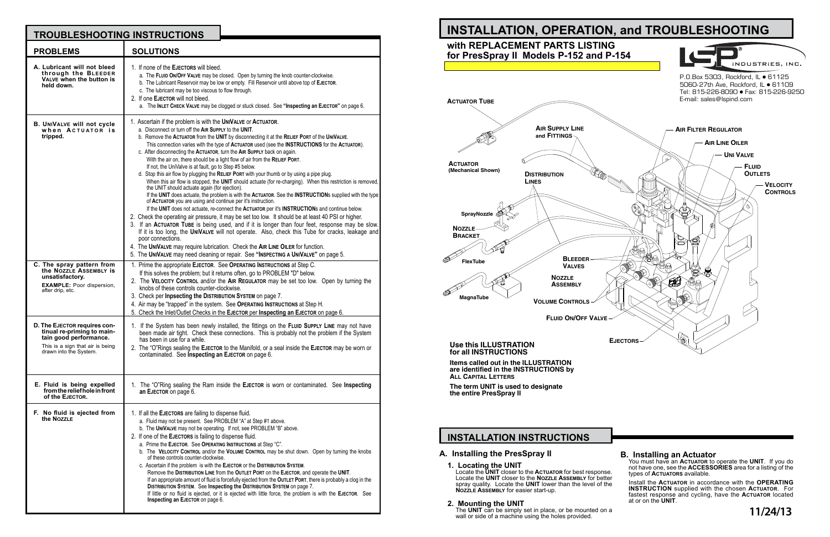# **INSTALLATION INSTRUCTIONS**

## **A. Installing the PresSpray II**

#### **1. Locating the UNIT**

Locate the **UNIT** closer to the **Actuator** for best response. Locate the **UNIT** closer to the **Nozzle Assembly** for better spray quality. Locate the **UNIT** lower than the level of the **Nozzle Assembly** for easier start-up.

#### **2. Mounting the UNIT**

The **UNIT** can be simply set in place, or be mounted on a wall or side of a machine using the holes provided.

## **B. Installing an Actuator**

You must have an **Actuator** to operate the **UNIT**. If you do not have one, see the **ACCESSORIES** area for a listing of the types of **Actuators** available.

Install the **Actuator** in accordance with the **OPERATING INSTRUCTION** supplied with the chosen **Actuator**. For fastest response and cycling, have the **Actuator** located at or on the **UNIT**.



| <b>TROUBLESHOOTING INSTRUCTIONS</b>                                                                                                                |                                                                                                                                                                                                                                                                                                                                                                                                                                                                                                                                                                                                                                                                                                                                                                                                                                                                                                                                                                                                                                                                                                                                                                                                                                                                                                                                                                                                                                                                                                                                                                                                     |
|----------------------------------------------------------------------------------------------------------------------------------------------------|-----------------------------------------------------------------------------------------------------------------------------------------------------------------------------------------------------------------------------------------------------------------------------------------------------------------------------------------------------------------------------------------------------------------------------------------------------------------------------------------------------------------------------------------------------------------------------------------------------------------------------------------------------------------------------------------------------------------------------------------------------------------------------------------------------------------------------------------------------------------------------------------------------------------------------------------------------------------------------------------------------------------------------------------------------------------------------------------------------------------------------------------------------------------------------------------------------------------------------------------------------------------------------------------------------------------------------------------------------------------------------------------------------------------------------------------------------------------------------------------------------------------------------------------------------------------------------------------------------|
| <b>PROBLEMS</b>                                                                                                                                    | <b>SOLUTIONS</b>                                                                                                                                                                                                                                                                                                                                                                                                                                                                                                                                                                                                                                                                                                                                                                                                                                                                                                                                                                                                                                                                                                                                                                                                                                                                                                                                                                                                                                                                                                                                                                                    |
| A. Lubricant will not bleed<br>through the BLEEDER<br>VALVE when the button is<br>held down.                                                       | 1. If none of the EJECTORS will bleed.<br>a. The FLUID ON/OFF VALVE may be closed. Open by turning the knob counter-clockwise.<br>b. The Lubricant Reservoir may be low or empty. Fill Reservoir until above top of EJECTOR.<br>c. The lubricant may be too viscous to flow through.<br>2. If one EJECTOR will not bleed.<br>a. The INLET CHECK VALVE may be clogged or stuck closed. See "Inspecting an EJECTOR" on page 6.                                                                                                                                                                                                                                                                                                                                                                                                                                                                                                                                                                                                                                                                                                                                                                                                                                                                                                                                                                                                                                                                                                                                                                        |
| <b>B. UNIVALVE will not cycle</b><br>when ACTUATOR is<br>tripped.                                                                                  | 1. Ascertain if the problem is with the UNIVALVE or ACTUATOR.<br>a. Disconnect or turn off the AIR SUPPLY to the UNIT.<br>b. Remove the ACTUATOR from the UNIT by disconnecting it at the RELIEF PORT of the UNIVALVE.<br>This connection varies with the type of ACTUATOR used (see the INSTRUCTIONS for the ACTUATOR).<br>c. After disconnecting the ACTUATOR, turn the AIR SUPPLY back on again.<br>With the air on, there should be a light flow of air from the RELIEF PORT.<br>If not, the UniValve is at fault, go to Step #5 below.<br>d. Stop this air flow by plugging the RELIEF PORT with your thumb or by using a pipe plug.<br>When this air flow is stopped, the UNIT should actuate (for re-charging). When this restriction is removed,<br>the UNIT should actuate again (for ejection).<br>If the UNIT does actuate, the problem is with the ACTUATOR. See the INSTRUCTIONs supplied with the type<br>of ACTUATOR you are using and continue per it's instruction.<br>If the UNIT does not actuate, re-connect the ACTUATOR per it's INSTRUCTIONs and continue below.<br>2. Check the operating air pressure, it may be set too low. It should be at least 40 PSI or higher.<br>3. If an ACTUATOR TUBE is being used, and if it is longer than four feet, response may be slow.<br>If it is too long, the UNIVALVE will not operate. Also, check this Tube for cracks, leakage and<br>poor connections.<br>4. The UNIVALVE may require lubrication. Check the AIR LINE OILER for function.<br>5. The UNIVALVE may need cleaning or repair. See "INSPECTING A UNIVALVE" on page 5. |
| C. The spray pattern from<br>the NOZZLE ASSEMBLY is<br>unsatisfactory.<br><b>EXAMPLE:</b> Poor dispersion,<br>after drip, etc.                     | 1. Prime the appropriate EJECTOR. See OPERATING INSTRUCTIONS at Step C.<br>If this solves the problem; but it returns often, go to PROBLEM "D" below.<br>2. The VELOCITY CONTROL and/or the AIR REGULATOR may be set too low. Open by turning the<br>knobs of these controls counter-clockwise.<br>3. Check per Inpsecting the DISTRIBUTION SYSTEM on page 7.<br>4. Air may be "trapped" in the system. See OPERATING INSTRUCTIONS at Step H.<br>5. Check the Inlet/Outlet Checks in the EJECTOR per Inspecting an EJECTOR on page 6.                                                                                                                                                                                                                                                                                                                                                                                                                                                                                                                                                                                                                                                                                                                                                                                                                                                                                                                                                                                                                                                               |
| D. The EJECTOR requires con-<br>tinual re-priming to main-<br>tain good performance.<br>This is a sign that air is being<br>drawn into the System. | 1. If the System has been newly installed, the fittings on the FLUID SUPPLY LINE may not have<br>been made air tight. Check these connections. This is probably not the problem if the System<br>has been in use for a while.<br>2. The "O"Rings sealing the EJECTOR to the Manifold, or a seal inside the EJECTOR may be worn or<br>contaminated. See Inspecting an EJECTOR on page 6.                                                                                                                                                                                                                                                                                                                                                                                                                                                                                                                                                                                                                                                                                                                                                                                                                                                                                                                                                                                                                                                                                                                                                                                                             |
| E. Fluid is being expelled<br>from the relief hole in front<br>of the EJECTOR.                                                                     | 1. The "O"Ring sealing the Ram inside the EJECTOR is worn or contaminated. See Inspecting<br>an EJECTOR on page 6.                                                                                                                                                                                                                                                                                                                                                                                                                                                                                                                                                                                                                                                                                                                                                                                                                                                                                                                                                                                                                                                                                                                                                                                                                                                                                                                                                                                                                                                                                  |
| F. No fluid is ejected from<br>the NOZZLE                                                                                                          | 1. If all the EJECTORS are failing to dispense fluid.<br>a. Fluid may not be present. See PROBLEM "A" at Step #1 above.<br>b. The UNIVALVE may not be operating. If not, see PROBLEM "B" above.<br>2. If one of the EJECTORS is failing to dispense fluid.<br>a. Prime the EJECTOR. See OPERATING INSTRUCTIONS at Step "C".<br>b. The VELOCITY CONTROL and/or the VOLUME CONTROL may be shut down. Open by turning the knobs<br>of these controls counter-clockwise.<br>c. Ascertain if the problem is with the EJECTOR or the DISTRIBUTION SYSTEM.<br>Remove the DISTRIBUTION LINE from the OUTLET PORT on the EJECTOR, and operate the UNIT.<br>If an appropriate amount of fluid is forcefully ejected from the OUTLET PORT, there is probably a clog in the<br>DISTRIBUTION SYSTEM. See Inspecting the DISTRIBUTION SYSTEM on page 7.<br>If little or no fluid is ejected, or it is ejected with little force, the problem is with the EJECTOR. See<br>Inspecting an EJECTOR on page 6.                                                                                                                                                                                                                                                                                                                                                                                                                                                                                                                                                                                                         |

**The term UNIT is used to designate the entire PresSpray II**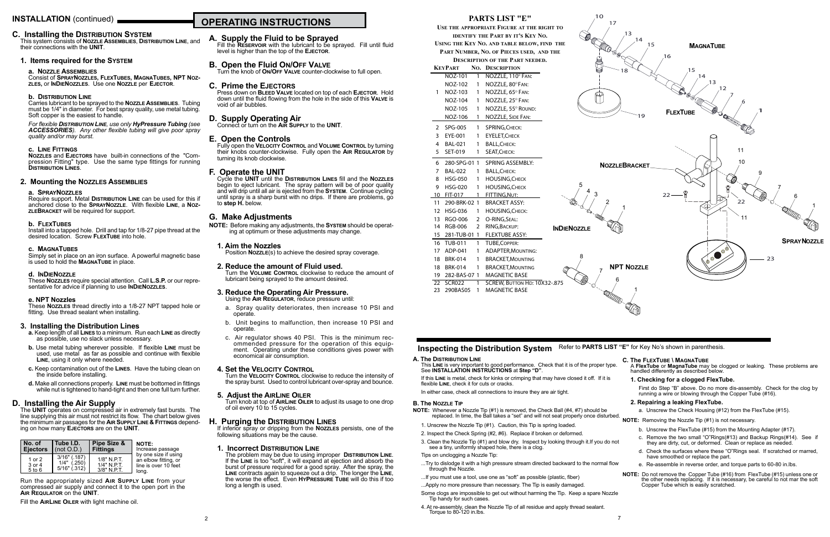#### **C. Installing the Distribution System**

This system consists of **Nozzle Assemblies**, **Distribution Line**, and their connections with the **UNIT**.

#### **1. Items required for the System**

#### **a. Nozzle Assemblies**

Consist of **SprayNozzles, FlexTubes, MagnaTubes, NPT Nozzles,** or **InDieNozzles**. Use one **Nozzle** per **Ejector**.

#### **b. Distribution Line**

Carries lubricant to be sprayed to the **Nozzle Assemblies**. Tubing must be 1/4" in diameter. For best spray quality, use metal tubing. Soft copper is the easiest to handle.

#### *For flexible Distribution Line, use only HyPressure Tubing (see ACCESSORIES). Any other flexible tubing will give poor spray quality and/or may burst.*

#### **c. Line Fittings**

**Nozzles** and **Ejectors** have built-in connections of the "Compression Fitting" type. Use the same type fittings for running **Distribution Lines**.

#### **2. Mounting the Nozzles Assemblies**

#### **a. SprayNozzles**

Require support. Metal **Distribution Line** can be used for this if anchored close to the **SprayNozzle**. With flexible **Line**, a **NozzleBracket** will be required for support.

#### **b. FlexTubes**

Install into a tapped hole. Drill and tap for 1/8-27 pipe thread at the desired location. Screw **FlexTube** into hole.

#### **c. MagnaTubes**

Simply set in place on an iron surface. A powerful magnetic base is used to hold the **MagnaTube** in place.

#### **d. InDieNozzle**

These **Nozzles** require special attention. Call **L.S.P.** or our representative for advice if planning to use **InDieNozzles**.

#### **e. NPT Nozzles**

These **Nozzles** thread directly into a 1/8-27 NPT tapped hole or fitting. Use thread sealant when installing.

#### **3. Installing the Distribution Lines**

- **a.** Keep length of all **Lines** to a minimum. Run each **Line** as directly as possible, use no slack unless necessary.
- **b.** Use metal tubing wherever possible. If flexible **Line** must be used, use metal as far as possible and continue with flexible **Line**, using it only where needed.
- **c.** Keep contamination out of the **Lines**. Have the tubing clean on the inside before installing.
- **d.** Make all connections properly. **Line** must be bottomed in fittings while nut is tightened to hand-tight and then one full turn further.

#### **D. Installing the Air Supply**

The **UNIT** operates on compressed air in extremely fast bursts. The line supplying this air must not restrict its flow. The chart below gives the minimum air passages for the **Air Supply Line & Fittings** depending on how many **Ejectors** are on the **UNIT**.

#### **A. Supply the Fluid to be Sprayed**

Fill the **Reservoir** with the lubricant to be sprayed. Fill until fluid level is higher than the top of the **Ejector**.

#### **B. Open the Fluid On/Off Valve**

Turn the knob of **On/Off Valve** counter-clockwise to full open.

#### **C. Prime the Ejectors**

Press down on **Bleed Valve** located on top of each **Ejector**. Hold down until the fluid flowing from the hole in the side of this **Valve** is void of air bubbles.

# **D. Supply Operating Air** Connect or turn on the **Air Supply** to the **UNIT**.

#### **E. Open the Controls**

Fully open the **Velocity Control** and **Volume Control** by turning their knobs counter-clockwise. Fully open the **Air Regulator** by turning its knob clockwise.

#### **F. Operate the UNIT**

Cycle the **UNIT** until the **Distribution Lines** fill and the **Nozzles** begin to eject lubricant. The spray pattern will be of poor quality and will drip until all air is ejected from the **System**. Continue cycling until spray is a sharp burst with no drips. If there are problems, go to **step H.** below.

#### **G. Make Adjustments**

**NOTE:** Before making any adjustments, the **System** should be operating at optimum or these adjustments may change.

#### **1. Aim the Nozzles**

Position **Nozzle**(s) to achieve the desired spray coverage.

#### **2. Reduce the amount of Fluid used.**

Turn the **Volume Control** clockwise to reduce the amount of lubricant being sprayed to the amount desired.

#### **3. Reduce the Operating Air Pressure.** Using the **Air Regulator**, reduce pressure until:

- a. Spray quality deteriorates, then increase 10 PSI and operate.
- b. Unit begins to malfunction, then increase 10 PSI and operate.
- c. Air regulator shows 40 PSI. This is the minimum rec- ommended pressure for the operation of this equipment. Operating under these conditions gives power with economical air consumption.

#### **4. Set the Velocity Control**

Turn the **Velocity Control** clockwise to reduce the intensity of the spray burst. Used to control lubricant over-spray and bounce.

#### **5. Adjust the AirLine Oiler**

Turn knob at top of **AirLine Oiler** to adjust its usage to one drop of oil every 10 to 15 cycles.

#### **H. Purging the Distribution Lines**

If inferior spray or dripping from the **Nozzles** persists, one of the following situations may be the cause.

#### **1. Incorrect Distribution Line**

The problem may be due to using improper **Distribution Line**. If the **Line** is too "soft", it will expand at ejection and absorb the burst of pressure required for a good spray. After the spray, the **Line** contracts again to squeeze out a drip. The longer the **Line**, the worse the effect. Even **HyPressure Tube** will do this if too long a length is used.

| l No. of                       | Tube I.D.                                         | Pipe Size &                                   | <b>NOTE:</b>                                                                  |
|--------------------------------|---------------------------------------------------|-----------------------------------------------|-------------------------------------------------------------------------------|
| <b>Eiectors</b>                | (not O.D.)                                        | <b>Fittings</b>                               | Increase passage                                                              |
| 1 or 2<br>3 or 4<br>$5$ to $6$ | $3/16"$ (.187)<br>$1/4"$ (.250)<br>$5/16"$ (.312) | $1/8"$ N.P.T.<br>1/4" N.P.T.<br>$3/8"$ N.P.T. | by one size if using<br>an elbow fitting, or<br>line is over 10 feet<br>long. |

Run the appropriately sized **Air Supply Line** from your compressed air supply and connect it to the open port in the **Air Requlator** on the **UNIT**.

Fill the **AirLine Oiler** with light machine oil.

# **INSTALLATION** (continued) **No. 2.1 September 2016 OPERATING INSTRUCTIONS**



#### **A. The Distribution Line**

This **Line** is very important to good performance. Check that it is of the proper type. See **INSTALLATION INSTRUCTIONS** at **Step "D"**.

If this **Line** is metal, check for kinks or crimping that may have closed it off. If it is flexible **Line**, check it for cuts or cracks.

In either case, check all connections to insure they are air tight.

#### **B. The Nozzle Tip**

**NOTE:** Whenever a Nozzle Tip (#1) is removed, the Check Ball (#4, #7) should be replaced. In time, the Ball takes a "set" and will not seat properly once disturbed.

- 1. Unscrew the Nozzle Tip (#1). Caution, this Tip is spring loaded.
- 2. Inspect the Check Spring (#2, #6). Replace if broken or deformed.
- 3. Clean the Nozzle Tip (#1) and blow dry. Inspect by looking through it.If you do not see a tiny, uniformly shaped hole, there is a clog.

Tips on unclogging a Nozzle Tip:

- ...Try to dislodge it with a high pressure stream directed backward to the normal flow through the Nozzle. e. Re-assemble in reverse order, and torque parts to 60-80 in.lbs.
- ...If you must use a tool, use one as "soft" as possible (plastic, fiber)
- ...Apply no more pressure than necessary. The Tip is easily damaged.
- Some clogs are impossible to get out without harming the Tip. Keep a spare Nozzle Tip handy for such cases.
- 4. At re-assembly, clean the Nozzle Tip of all residue and apply thread sealant. Torque to 80-120 in.lbs.

#### **C. The FlexTube \ MagnaTube**

A **FlexTube** or **MagnaTube** may be clogged or leaking. These problems are handled differently as described below.

#### **1. Checking for a clogged FlexTube.**

First do Step "B" above. Do no more dis-assembly. Check for the clog by running a wire or blowing through the Copper Tube (#16).

#### **2. Repairing a leaking FlexTube.**

a. Unscrew the Check Housing (#12) from the FlexTube (#15).

**NOTE:** Removing the Nozzle Tip (#1) is not necessary.

- b. Unscrew the FlexTube (#15) from the Mounting Adapter (#17).
- c. Remove the two small "O"Rings(#13) and Backup Rings(#14). See if they are dirty, cut, or deformed. Clean or replace as needed.
- d. Check the surfaces where these "O"Rings seal. If scratched or marred, have smoothed or replace the part.
- **NOTE:** Do not remove the Copper Tube (#16) from FlexTube (#15) unless one or the other needs replacing. If it is necessary, be careful to not mar the soft Copper Tube which is easily scratched.

#### **PARTS LIST "E"**

**Use the appropriate Figure at the right to identify the Part by it's Key No.**

**Using the Key No. and table below, find the**

**Part Number, No. of Pieces used, and the**

**Description of the Part needed.**

|                | KEYPART         | No. | <b>DESCRIPTION</b>           |            |
|----------------|-----------------|-----|------------------------------|------------|
|                | NOZ-101         | 1   | NOZZLE, 110° FAN:            |            |
|                | NOZ-102         | 1   | NOZZLE, 80° FAN:             |            |
| 1              | NOZ-103         | 1   | NOZZLE, 65° FAN:             |            |
|                | NOZ-104         | 1   | NOZZLE, 25° FAN:             |            |
|                | NOZ-105         | 1   | NOZZLE, 55° ROUND:           |            |
|                | NOZ-106         | 1   | NOZZLE, SIDE FAN:            |            |
| $\overline{2}$ | SPG-005         | 1   | SPRING, CHECK:               |            |
|                | 3 EYE-001       | 1   | <b>EYELET, CHECK</b>         |            |
|                | 4 BAL-021       | 1   | <b>BALL, CHECK:</b>          |            |
|                | 5 SET-019       | 1   | SEAT, CHECK:                 |            |
|                | 6 280-SPG-01 1  |     | <b>SPRING ASSEMBLY:</b>      |            |
|                | 7 BAL-022       | 1   | <b>BALL, CHECK:</b>          |            |
|                | 8 HSG-050       | 1   | <b>HOUSING, CHECK</b>        |            |
| 9              | <b>HSG-020</b>  | 1   | <b>HOUSING, CHECK</b>        |            |
|                | 10 FIT-017      | 1   | FITTING, NUT:                |            |
|                | 11 290-BRK-02 1 |     | <b>BRACKET ASSY:</b>         |            |
|                | 12 HSG-036      | 1   | <b>HOUSING, CHECK:</b>       |            |
|                | 13 RGO-006      | 2   | O-RING, SEAL:                |            |
|                | 14 RGB-006      | 2   | RING, BACKUP:                | <b>IND</b> |
|                | 15 281-TUB-01 1 |     | <b>FLEXTUBE ASSY:</b>        |            |
|                | 16 TUB-011      | 1   | TUBE, COPPER:                |            |
|                | 17 ADP-041      | 1   | <b>ADAPTER, MOUNTING:</b>    |            |
|                | 18 BRK-014      | 1   | <b>BRACKET, MOUNTING</b>     |            |
|                | 18 BRK-014      | 1   | <b>BRACKET, MOUNTING</b>     |            |
|                | 19 282-BAS-07 1 |     | <b>MAGNETIC BASE</b>         |            |
|                | 22 SCR022       | 1   | SCREW, BUTTON HD: 10X32-.875 |            |
| 23             | 290BAS05        | 1   | <b>MAGNETIC BASE</b>         |            |

# **Inspecting the Distribution System** Refer to PARTS LIST "E" for Key No's shown in parenthesis.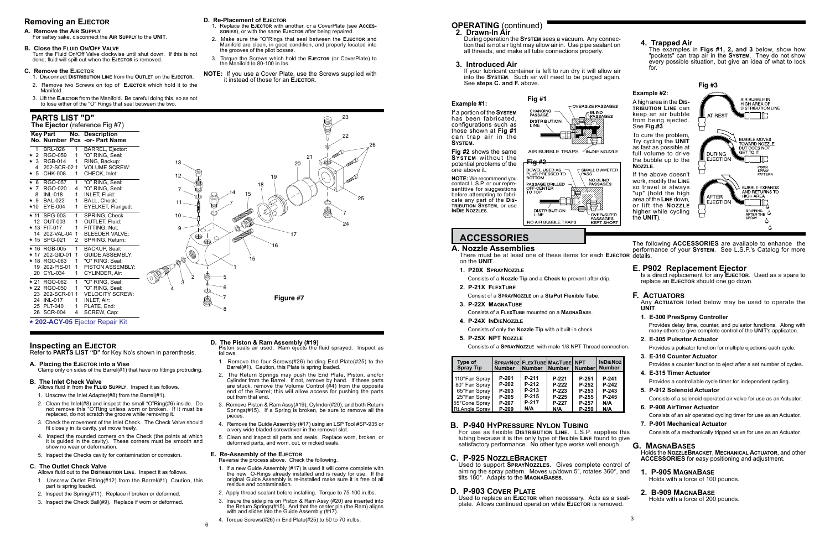## **OPERATING** (continued)

#### **Example #1:**

If a portion of the **System** has been fabricated, configurations such as those shown at **Fig #1** can trap air in the **System**.

**Fig #2** shows the same **System** without the

one above it.

**InDie Nozzles**.

**Example #2:**

See **Fig.#3**.

**Nozzle**.

the **UNIT**).

#### **4. Trapped Air** The examples in **Figs #1, 2, and 3** below, show how

Used to replace an **Ejector** when necessary. Acts as a sealplate. Allows continued operation while **EJECTOR** is removed.

"pockets" can trap air in the **System**. They do not show every possible situation, but give an idea of what to look

for.

- **2. Drawn-In Air**
	- During operation the **System** sees a vacuum. Any connection that is not air tight may allow air in. Use pipe sealant on all threads, and make all tube connections properly.

#### **3. Introduced Air**

If your lubricant container is left to run dry it will allow air into the **System**. Such air will need to be purged again. See **steps C. and F.** above.

# **ACCESSORIES**

## **B. P-940 HyPressure Nylon Tubing**

For use as flexible **Distribution Line**. L.S.P. supplies this tubing because it is the only type of flexible **Line** found to give satisfactory performance. No other type works well enough.

#### **C. P-925 NozzleBracket**

Used to support **SprayNozzles**. Gives complete control of aiming the spray pattern. Moves up/down 5", rotates 360°, and tilts 180°. Adapts to the **MagnaBases**.

#### **D. P-903 Cover Plate**

**E. P902 Replacement Ejector** Is a direct replacement for any **Ejector**. Used as a spare to replace an **Ejector** should one go down.

#### **F. Actuators**

Any **Actuator** listed below may be used to operate the **UNIT**.

**1. E-300 PresSpray Controller**

Provides delay time, counter, and pulsator functions. Along with many others to give complete control of the **UNIT**'s applicaton.

**2. E-305 Pulsator Actuator**

Provides a pulsator function for multiple ejections each cycle.

**3. E-310 Counter Actuator**

Provides a counter function to eject after a set number of cycles.

#### **4. E-315 Timer Actuator**

Provides a controllable cycle timer for independent cycling.

- **5. P-912 Solenoid Actuator**
- Consists of a solenoid operated air valve for use as an Actuator.
- **6. P-908 AirTimer Actuator**

Consists of an air operated cycling timer for use as an Actuator.

**7. P-901 Mechanical Actuator**

Consists of a mechanically tripped valve for use as an Actuator.

**G. MagnaBases** Holds the **NozzleBracket**, **Mechanical Actuator**, and other **ACCESSORIES** for easy positioning and adjustment.

#### **1. P-905 MagnaBase** Holds with a force of 100 pounds.

#### **2. B-909 MagnaBase**

Holds with a force of 200 pounds.

**INOZ** 

#### **A. Nozzle Assemblies**

- **1. P20X SprayNozzle**
- Consists of a **Nozzle Tip** and a **Check** to prevent after-drip. **2. P-21X FlexTube**
- Consist of a **SprayNozzle** on a **StaPut Flexible Tube**.
- **3. P-22X MagnaTube**

Consists of a **FlexTube** mounted on a **MagnaBase**.

- **4. P-24X InDieNozzle**
- Consists of only the **Nozzle Tip** with a built-in check.
- **5. P-25X NPT Nozzle**

Consists of a **SprayNozzle** with male 1/8 NPT Thread connection.

There must be at least one of these items for each **Ejector** details. on the **UNIT**. The following **ACCESSORIES** are available to enhance the performance of your **System**. See L.S.P.'s Catalog for more

![](_page_2_Picture_108.jpeg)

## **Removing an Ejector**

#### **A. Remove the Air Supply**

For saftey sake, disconnect the **Air Supply** to the **UNIT**.

#### **B. Close the Fluid On/Off Valve**

Turn the Fluid On/Off Valve clockwise until shut down. If this is not done, fluid will spill out when the **Ejector** is removed.

#### **C. Remove the Ejector**

**Fig #2** potential problems of the DOWEL USED AS<br>PLUG PRESSED TO<br>BOTTOM T SMALL DIAMETER **NOTE:** We recommend you NO BLIND<br>PASSAGES PASSAGE DRILLED<br>OFF-CENTER<br>TO TOP contact L.S.P. or our representitive for suggestions before attempting to fabricate any part of the **Dis-**得 **tribution System**, or use **DISTRIBUTION** OVER-SIZED PASSAGES<br>KEPT SHORT NO AIR BUBBLE TRAPS

- 1. Disconnect **Distribution Line** from the **Outlet** on the **Ejector**. 2. Remove two Screws on top of **Ejector** which hold it to the Manifold.
- 3. Lift the **Ejector** from the Manifold. Be careful doing this, so as not to lose either of the "O" Rings that seal between the two.

#### **D. Re-Placement of Ejector**

![](_page_2_Picture_83.jpeg)

- 1. Replace the **Ejector** with another, or a CoverPlate (see **Accessories**), or with the same **Ejector** after being repaired.
- 2. Make sure the "O"Rings that seal between the **Ejector** and Manifold are clean, in good condition, and properly located into the grooves of the pilot bosses.
- 3. Torque the Screws which hold the **Ejector** (or CoverPlate) to the Manifold to 80-100 in.lbs.
- **NOTE:** If you use a Cover Plate, use the Screws supplied with it instead of those for an **Ejector**.

#### **D. The Piston & Ram Assembly (#19)**

Piston seals air used. Ram ejects the fluid sprayed. Inspect as follows.

- 1. Remove the four Screws(#26) holding End Plate(#25) to the Barrel(#1). Caution, this Plate is spring loaded.
- 2. The Return Springs may push the End Plate, Piston, and/or Cylinder from the Barrel. If not, remove by hand. If these parts are stuck, remove the Volume Control  $(H4)$  from the opposite end of the Barrel; this will allow access for pushing the parts out from that end.
- 3. Remove Piston & Ram Assy(#19), Cylinder(#20), and both Return Springs(#15). If a Spring is broken, be sure to remove all the pieces.
- 4. Remove the Guide Assembly (#17) using an LSP Tool #SP-935 or a very wide bladed screwdriver in the removal slot.
- 5. Clean and inspect all parts and seals. Replace worn, broken, or deformed parts, and worn, cut, or nicked seals.

#### **E. Re-Assembly of the Ejector**

Reverse the process above. Check the following.

| Type of<br><b>Spray Tip</b> | <b>SPRAYNOZ FLEXTUBE MAGTUBE INPT</b><br><b>Number</b> | <b>INumber INumber</b> |       | I Number | <b>INDIE</b><br><b>Numi</b> |
|-----------------------------|--------------------------------------------------------|------------------------|-------|----------|-----------------------------|
| 110°Fan Spray               | P-201                                                  | P-211                  | P-221 | P-251    | $P-2$                       |
| 80° Fan Spray               | P-202                                                  | P-212                  | P-222 | P-252    | $P-2$                       |
| 65°Fan Spray                | P-203                                                  | P-213                  | P-223 | P-253    | $P-2$                       |
| 25°Fan Spray                | P-205                                                  | P-215                  | P-225 | P-255    | $P-2$                       |
| 55°Cone Spray               | P-207                                                  | P-217                  | P-227 | P-257    | N/A                         |
| <b>Rt.Angle Spray</b>       | P-209                                                  | N/A                    | N/A   | $P-259$  | N/A                         |

- 1. If a new Guide Assembly (#17) is used it will come complete with the new O-Rings already installed and is ready for use. If the original Guide Assembly is re-installed make sure it is free of all residue and contamination.
- 2. Apply thread sealant before installing. Torque to 75-100 in.lbs.
- 3. Insure the side pins on Piston & Ram Assy (#20) are inserted into the Return Springs(#15). And that the center pin (the Ram) aligns with and slides into the Guide Assembly (#17).
- 4. Torque Screws(#26) in End Plate(#25) to 50 to 70 in.lbs.

## **Inspecting an Ejector**

Refer to **PARTS LIST "D"** for Key No's shown in parenthesis.

**A. Placing the Ejector into a Vise**

Clamp only on sides of the Barrel(#1) that have no fittings protruding.

#### **B. The Inlet Check Valve**

Allows fluid in from the **Fluid Supply**. Inspect it as follows.

- 1. Unscrew the Inlet Adapter(#8) from the Barrel(#1).
- 2. Clean the Inlet(#8) and inspect the small "O"Ring(#6) inside. Do not remove this "O"Ring unless worn or broken. If it must be replaced, do not scratch the groove while removing it.
- 3. Check the movement of the Inlet Check. The Check Valve should fit closely in its cavity, yet move freely.
- 4. Inspect the rounded corners on the Check (the points at which it is guided in the cavity). These corners must be smooth and show no wear or deformation.
- 5. Inspect the Checks cavity for contamination or corrosion.

## **C. The Outlet Check Valve**

Allows fluid out to the **Distribution Line**. Inspect it as follows.

- 1. Unscrew Outlet Fitting(#12) from the Barrel(#1). Caution, this part is spring loaded.
- 2. Inspect the Spring(#11). Replace if broken or deformed.
- 3. Inspect the Check Ball(#9). Replace if worn or deformed.

#### **PARTS LIST "D"**

#### **The Ejector** (reference Fig #7)

|              | <b>Kev Part</b> |    | <b>No. Description</b>        |        |
|--------------|-----------------|----|-------------------------------|--------|
|              |                 |    | No. Number Pcs -or- Part Name |        |
| $\mathbf{1}$ | <b>BRL-026</b>  | 1  | BARREL, Ejector:              |        |
|              | ★ 2 RGO-059     | 1  | "O" RING, Seal:               |        |
|              | ★ 3 RGB-014     | 1  | RING, Backup:                 | 13<    |
| 4            | 202-SCR-02 1    |    | <b>VOLUME SCREW:</b>          |        |
|              | ★ 5 CHK-008     | 1  | CHECK, Inlet:                 | 12<    |
| $\star$ 6    | RGO-057         | 1  | "O" RING, Seal:               |        |
|              | ★ 7 RGO-020     | 4  | "O" RING, Seal:               | $7 -$  |
|              | 8 INL-018       | 1  | INLET, Fluid:                 |        |
|              | ★ 9 BAL-022     | 1  | BALL, Check:                  | 11~    |
|              | ★10 EYE-004     | 1  | EYELKET, Flanged:             |        |
|              | ★ 11 SPG-003    | 1  | SPRING, Check                 | $10 -$ |
|              | 12 OUT-003      | 1  | <b>OUTLET, Fluid:</b>         |        |
|              | ★ 13 FIT-017    | 1  | FITTING, Nut:                 | 9 –    |
|              | 14 202-VAL-04   | 1  | <b>BLEEDER VALVE:</b>         |        |
|              | ★ 15 SPG-021    | 2  | SPRING, Return:               |        |
|              | ★ 16 RGB-005    | 1  | <b>BACKUP, Seal:</b>          |        |
|              | ★ 17 202-GID-01 | 1  | <b>GUIDE ASSEMBLY:</b>        |        |
|              | ★ 18 RGO-063    | 1  | "O" RING: Seal:               | ⋒      |
|              | 19 202-PIS-01   | 1  | <b>PISTON ASSEMBLY:</b>       |        |
|              | 20 CYL-034      | 1  | CYLINDER, Air:                |        |
|              | ★ 21 RGO-062    | 1  | "O" RING, Seal:               |        |
|              | * 22 RGO-050    | 1  | "O" RING, Seal:               | 4      |
|              | 23 202-SCR-011  |    | <b>VELOCITY SCREW:</b>        |        |
|              | 24 INL-017      | 1  | <b>INLET, Air:</b>            |        |
|              | 25 PLT-040      | 1. | PLATE, End:                   |        |
|              | 26 SCR-004      | 4  | SCREW, Cap:                   |        |

0 **202-ACY-05** Ejector Repair Kit

6

![](_page_2_Figure_54.jpeg)

AIR BUBBLE TRAPS 4N-DIE NOZZLE

![](_page_2_Figure_33.jpeg)